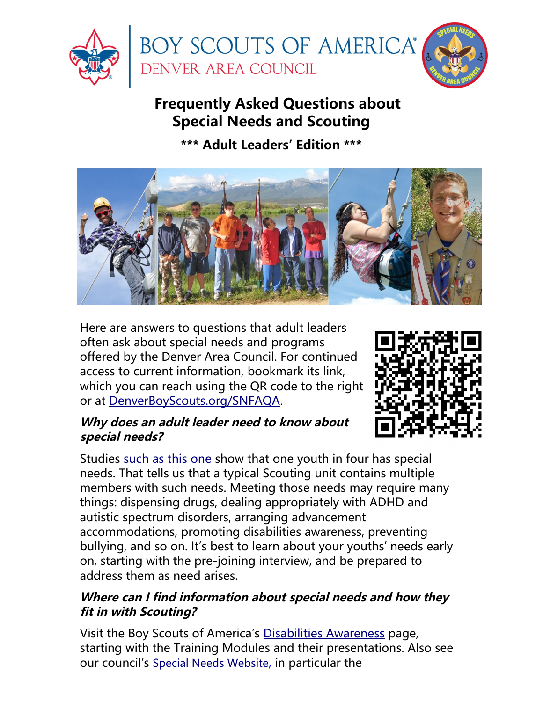

# **Frequently Asked Questions about Special Needs and Scouting**

**\*\*\* Adult Leaders' Edition \*\*\***



Here are answers to questions that adult leaders often ask about special needs and programs offered by the Denver Area Council. For continued access to current information, bookmark its link, which you can reach using the QR code to the right or at [DenverBoyScouts.org/SNFAQA](https://DenverBoyScouts.org/SNFAQA).



# **Why does an adult leader need to know about special needs?**

Studies [such as this one](https://pubmed.ncbi.nlm.nih.gov/15286221/) show that one youth in four has special needs. That tells us that a typical Scouting unit contains multiple members with such needs. Meeting those needs may require many things: dispensing drugs, dealing appropriately with ADHD and autistic spectrum disorders, arranging advancement accommodations, promoting disabilities awareness, preventing bullying, and so on. It's best to learn about your youths' needs early on, starting with the pre-joining interview, and be prepared to address them as need arises.

# **Where can I find information about special needs and how they fit in with Scouting?**

Visit the Boy Scouts of America's [Disabilities Awareness](http://www.scouting.org/disabilitiesawareness.aspx) page, starting with the Training Modules and their presentations. Also see our council's [Special Needs Website](https://www.denverboyscouts.org/resources/other-useful-resources/special-needs-scouting/), in particular the